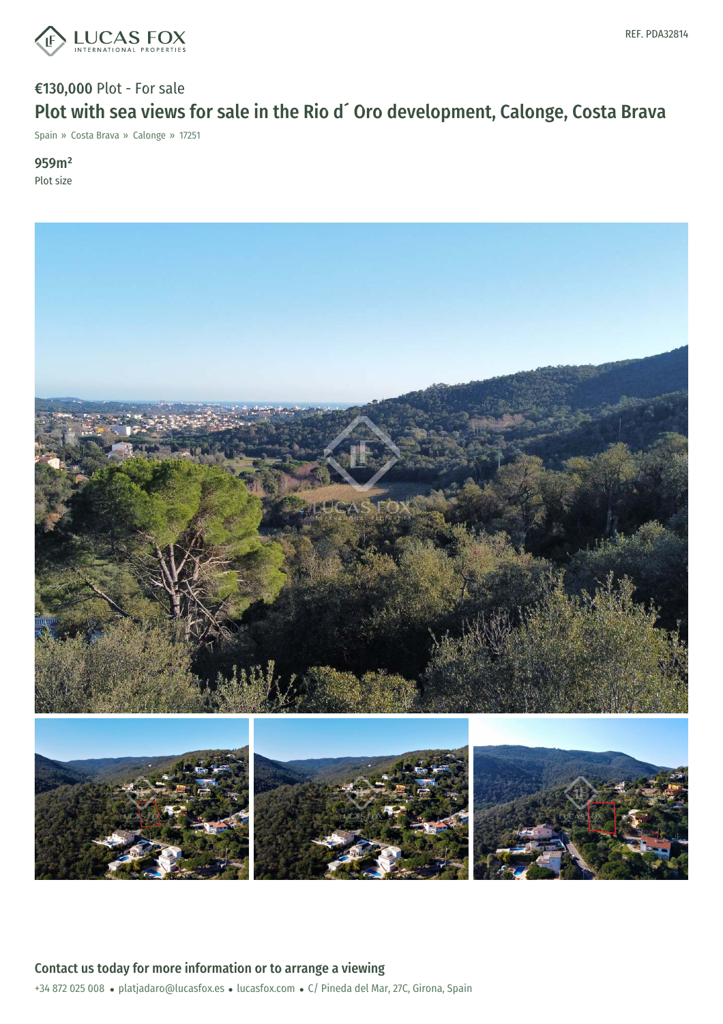

## €130,000 Plot - For sale Plot with sea views for sale in the Rio d´ Oro development, Calonge, Costa Brava

Spain » Costa Brava » Calonge » 17251

959m² Plot size